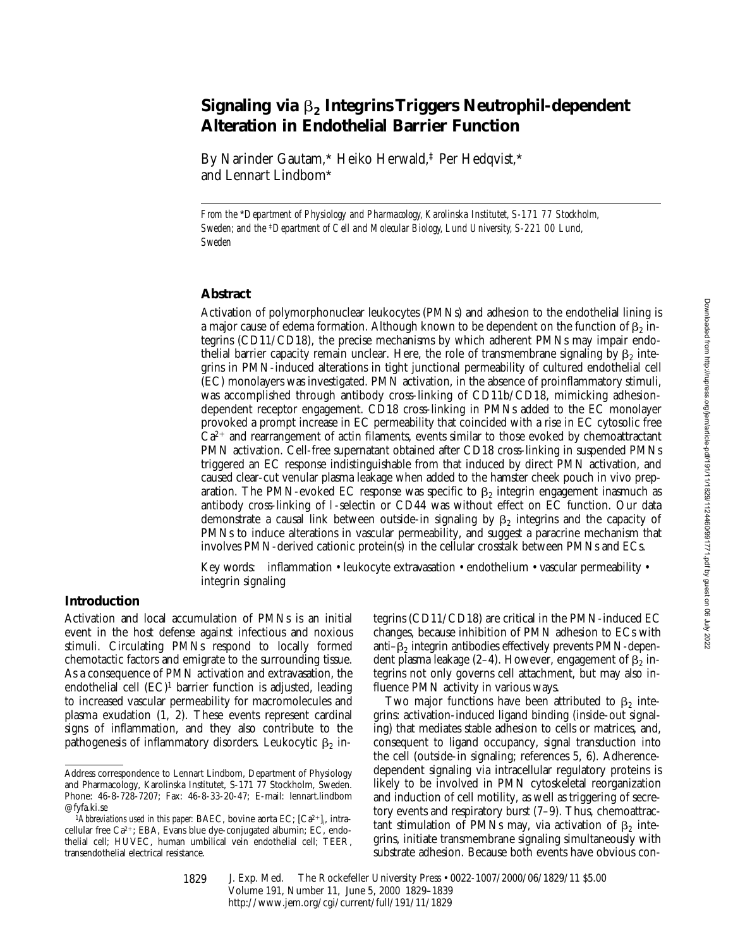# **Signaling via** b**2 Integrins Triggers Neutrophil-dependent Alteration in Endothelial Barrier Function**

By Narinder Gautam,\* Heiko Herwald,‡ Per Hedqvist,\* and Lennart Lindbom\*

*From the* \**Department of Physiology and Pharmacology, Karolinska Institutet, S-171 77 Stockholm, Sweden; and the* ‡*Department of Cell and Molecular Biology, Lund University, S-221 00 Lund, Sweden*

## **Abstract**

Activation of polymorphonuclear leukocytes (PMNs) and adhesion to the endothelial lining is a major cause of edema formation. Although known to be dependent on the function of  $\beta_2$  integrins (CD11/CD18), the precise mechanisms by which adherent PMNs may impair endothe lial barrier capacity remain unclear. Here, the role of transmembrane signaling by  $\beta_2$  integrins in PMN-induced alterations in tight junctional permeability of cultured endothelial cell (EC) monolayers was investigated. PMN activation, in the absence of proinflammatory stimuli, was accomplished through antibody cross-linking of CD11b/CD18, mimicking adhesiondependent receptor engagement. CD18 cross-linking in PMNs added to the EC monolayer provoked a prompt increase in EC permeability that coincided with a rise in EC cytosolic free  $Ca<sup>2+</sup>$  and rearrangement of actin filaments, events similar to those evoked by chemoattractant PMN activation. Cell-free supernatant obtained after CD18 cross-linking in suspended PMNs triggered an EC response indistinguishable from that induced by direct PMN activation, and caused clear-cut venular plasma leakage when added to the hamster cheek pouch in vivo preparation. The PMN-evoked EC response was specific to  $\beta_2$  integrin engagement inasmuch as antibody cross-linking of l-selectin or CD44 was without effect on EC function. Our data demonstrate a causal link between outside-in signaling by  $\beta_2$  integrins and the capacity of PMNs to induce alterations in vascular permeability, and suggest a paracrine mechanism that involves PMN-derived cationic protein(s) in the cellular crosstalk between PMNs and ECs.

Key words: inflammation • leukocyte extravasation • endothelium • vascular permeability • integrin signaling

# **Introduction**

Activation and local accumulation of PMNs is an initial event in the host defense against infectious and noxious stimuli. Circulating PMNs respond to locally formed chemotactic factors and emigrate to the surrounding tissue. As a consequence of PMN activation and extravasation, the endothelial cell  $(EC)^1$  barrier function is adjusted, leading to increased vascular permeability for macromolecules and plasma exudation (1, 2). These events represent cardinal signs of inflammation, and they also contribute to the pathogenesis of inflammatory disorders. Leukocytic  $\beta_2$  integrins (CD11/CD18) are critical in the PMN-induced EC changes, because inhibition of PMN adhesion to ECs with anti– $\beta_2$  integrin antibodies effectively prevents PMN-dependent plasma leakage (2–4). However, engagement of  $\beta_2$  integrins not only governs cell attachment, but may also influence PMN activity in various ways.

Two major functions have been attributed to  $\beta_2$  integrins: activation-induced ligand binding (inside-out signaling) that mediates stable adhesion to cells or matrices, and, consequent to ligand occupancy, signal transduction into the cell (outside-in signaling; references 5, 6). Adherencedependent signaling via intracellular regulatory proteins is likely to be involved in PMN cytoskeletal reorganization and induction of cell motility, as well as triggering of secretory events and respiratory burst (7–9). Thus, chemoattractant stimulation of PMNs may, via activation of  $\beta_2$  integrins, initiate transmembrane signaling simultaneously with substrate adhesion. Because both events have obvious con-

Address correspondence to Lennart Lindbom, Department of Physiology and Pharmacology, Karolinska Institutet, S-171 77 Stockholm, Sweden. Phone: 46-8-728-7207; Fax: 46-8-33-20-47; E-mail: lennart.lindbom @fyfa.ki.se

<sup>&</sup>lt;sup>1</sup>Abbreviations used in this paper: BAEC, bovine aorta EC;  $[Ca^{2+}]_i$ , intracellular free Ca $2+$ ; EBA, Evans blue dye-conjugated albumin; EC, endothelial cell; HUVEC, human umbilical vein endothelial cell; TEER, transendothelial electrical resistance.

<sup>1829</sup>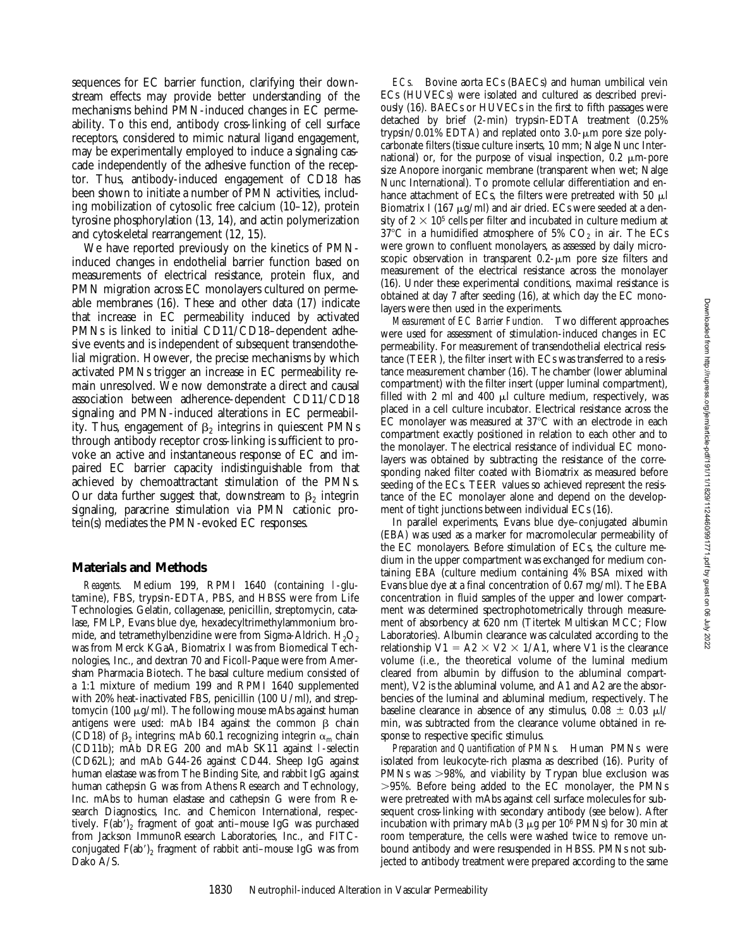sequences for EC barrier function, clarifying their downstream effects may provide better understanding of the mechanisms behind PMN-induced changes in EC permeability. To this end, antibody cross-linking of cell surface receptors, considered to mimic natural ligand engagement, may be experimentally employed to induce a signaling cascade independently of the adhesive function of the receptor. Thus, antibody-induced engagement of CD18 has been shown to initiate a number of PMN activities, including mobilization of cytosolic free calcium (10–12), protein tyrosine phosphorylation (13, 14), and actin polymerization and cytoskeletal rearrangement (12, 15).

We have reported previously on the kinetics of PMNinduced changes in endothelial barrier function based on measurements of electrical resistance, protein flux, and PMN migration across EC monolayers cultured on permeable membranes (16). These and other data (17) indicate that increase in EC permeability induced by activated PMNs is linked to initial CD11/CD18–dependent adhesive events and is independent of subsequent transendothelial migration. However, the precise mechanisms by which activated PMNs trigger an increase in EC permeability remain unresolved. We now demonstrate a direct and causal association between adherence-dependent CD11/CD18 signaling and PMN-induced alterations in EC permeability. Thus, engagement of  $\beta_2$  integrins in quiescent PMNs through antibody receptor cross-linking is sufficient to provoke an active and instantaneous response of EC and impaired EC barrier capacity indistinguishable from that achieved by chemoattractant stimulation of the PMNs. Our data further suggest that, downstream to  $\beta_2$  integrin signaling, paracrine stimulation via PMN cationic protein(s) mediates the PMN-evoked EC responses.

#### **Materials and Methods**

*Reagents.* Medium 199, RPMI 1640 (containing l-glutamine), FBS, trypsin-EDTA, PBS, and HBSS were from Life Technologies. Gelatin, collagenase, penicillin, streptomycin, catalase, FMLP, Evans blue dye, hexadecyltrimethylammonium bromide, and tetramethylbenzidine were from Sigma-Aldrich.  $H_2O_2$ was from Merck KGaA, Biomatrix I was from Biomedical Technologies, Inc., and dextran 70 and Ficoll-Paque were from Amersham Pharmacia Biotech. The basal culture medium consisted of a 1:1 mixture of medium 199 and RPMI 1640 supplemented with 20% heat-inactivated FBS, penicillin (100 U/ml), and streptomycin (100  $\mu$ g/ml). The following mouse mAbs against human antigens were used: mAb IB4 against the common  $\beta$  chain (CD18) of  $\beta_2$  integrins; mAb 60.1 recognizing integrin  $\alpha_m$  chain (CD11b); mAb DREG 200 and mAb SK11 against l-selectin (CD62L); and mAb G44-26 against CD44. Sheep IgG against human elastase was from The Binding Site, and rabbit IgG against human cathepsin G was from Athens Research and Technology, Inc. mAbs to human elastase and cathepsin G were from Research Diagnostics, Inc. and Chemicon International, respectively.  $F(ab')_2$  fragment of goat anti–mouse IgG was purchased from Jackson ImmunoResearch Laboratories, Inc., and FITCconjugated  $F(ab')_2$  fragment of rabbit anti-mouse IgG was from Dako A/S.

*ECs.* Bovine aorta ECs (BAECs) and human umbilical vein ECs (HUVECs) were isolated and cultured as described previously (16). BAECs or HUVECs in the first to fifth passages were detached by brief (2-min) trypsin-EDTA treatment (0.25% trypsin/0.01% EDTA) and replated onto  $3.0$ - $\mu$ m pore size polycarbonate filters (tissue culture inserts, 10 mm; Nalge Nunc International) or, for the purpose of visual inspection,  $0.2 \mu m$ -pore size Anopore inorganic membrane (transparent when wet; Nalge Nunc International). To promote cellular differentiation and enhance attachment of ECs, the filters were pretreated with 50  $\mu$ l Biomatrix I (167  $\mu$ g/ml) and air dried. ECs were seeded at a density of  $2 \times 10^5$  cells per filter and incubated in culture medium at  $37^{\circ}$ C in a humidified atmosphere of 5%  $CO_{2}$  in air. The ECs were grown to confluent monolayers, as assessed by daily microscopic observation in transparent  $0.2-\mu m$  pore size filters and measurement of the electrical resistance across the monolayer (16). Under these experimental conditions, maximal resistance is obtained at day 7 after seeding (16), at which day the EC monolayers were then used in the experiments.

*Measurement of EC Barrier Function.* Two different approaches were used for assessment of stimulation-induced changes in EC permeability. For measurement of transendothelial electrical resistance (TEER), the filter insert with ECs was transferred to a resistance measurement chamber (16). The chamber (lower abluminal compartment) with the filter insert (upper luminal compartment), filled with 2 ml and 400  $\mu$ l culture medium, respectively, was placed in a cell culture incubator. Electrical resistance across the  $EC$  monolayer was measured at  $37^{\circ}C$  with an electrode in each compartment exactly positioned in relation to each other and to the monolayer. The electrical resistance of individual EC monolayers was obtained by subtracting the resistance of the corresponding naked filter coated with Biomatrix as measured before seeding of the ECs. TEER values so achieved represent the resistance of the EC monolayer alone and depend on the development of tight junctions between individual ECs (16).

In parallel experiments, Evans blue dye–conjugated albumin (EBA) was used as a marker for macromolecular permeability of the EC monolayers. Before stimulation of ECs, the culture medium in the upper compartment was exchanged for medium containing EBA (culture medium containing 4% BSA mixed with Evans blue dye at a final concentration of 0.67 mg/ml). The EBA concentration in fluid samples of the upper and lower compartment was determined spectrophotometrically through measurement of absorbency at 620 nm (Titertek Multiskan MCC; Flow Laboratories). Albumin clearance was calculated according to the relationship  $V1 = A2 \times V2 \times 1/A1$ , where V1 is the clearance volume (i.e., the theoretical volume of the luminal medium cleared from albumin by diffusion to the abluminal compartment), V2 is the abluminal volume, and A1 and A2 are the absorbencies of the luminal and abluminal medium, respectively. The baseline clearance in absence of any stimulus,  $0.08 \pm 0.03$   $\mu$ l/ min, was subtracted from the clearance volume obtained in response to respective specific stimulus.

*Preparation and Quantification of PMNs.* Human PMNs were isolated from leukocyte-rich plasma as described (16). Purity of PMNs was  $>98\%$ , and viability by Trypan blue exclusion was  $>95\%$ . Before being added to the EC monolayer, the PMNs were pretreated with mAbs against cell surface molecules for subsequent cross-linking with secondary antibody (see below). After incubation with primary mAb  $(3 \mu g)$  per 10<sup>6</sup> PMNs) for 30 min at room temperature, the cells were washed twice to remove unbound antibody and were resuspended in HBSS. PMNs not subjected to antibody treatment were prepared according to the same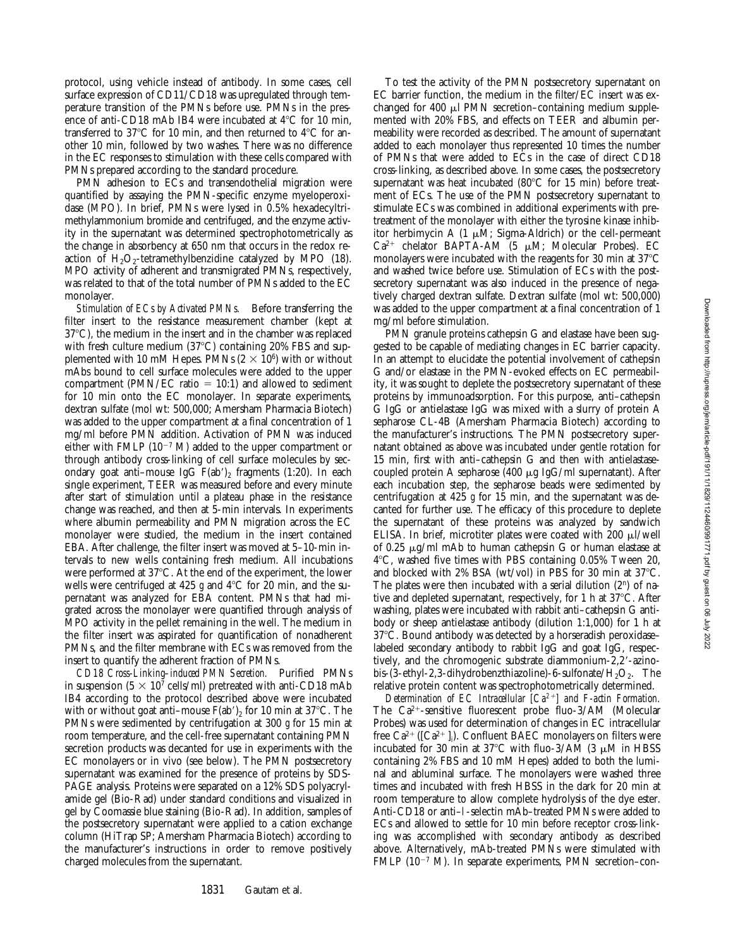protocol, using vehicle instead of antibody. In some cases, cell surface expression of CD11/CD18 was upregulated through temperature transition of the PMNs before use. PMNs in the presence of anti-CD18 mAb IB4 were incubated at  $4^{\circ}$ C for 10 min, transferred to 37 $\rm ^{o}C$  for 10 min, and then returned to 4 $\rm ^{o}C$  for another 10 min, followed by two washes. There was no difference in the EC responses to stimulation with these cells compared with PMNs prepared according to the standard procedure.

PMN adhesion to ECs and transendothelial migration were quantified by assaying the PMN-specific enzyme myeloperoxidase (MPO). In brief, PMNs were lysed in 0.5% hexadecyltrimethylammonium bromide and centrifuged, and the enzyme activity in the supernatant was determined spectrophotometrically as the change in absorbency at 650 nm that occurs in the redox reaction of  $H_2O_2$ -tetramethylbenzidine catalyzed by MPO (18). MPO activity of adherent and transmigrated PMNs, respectively, was related to that of the total number of PMNs added to the EC monolayer.

*Stimulation of ECs by Activated PMNs.* Before transferring the filter insert to the resistance measurement chamber (kept at  $37^{\circ}$ C), the medium in the insert and in the chamber was replaced with fresh culture medium (37 $^{\circ}$ C) containing 20% FBS and supplemented with 10 mM Hepes. PMNs  $(2 \times 10^6)$  with or without mAbs bound to cell surface molecules were added to the upper compartment (PMN/EC ratio  $= 10:1$ ) and allowed to sediment for 10 min onto the EC monolayer. In separate experiments, dextran sulfate (mol wt: 500,000; Amersham Pharmacia Biotech) was added to the upper compartment at a final concentration of 1 mg/ml before PMN addition. Activation of PMN was induced either with FMLP ( $10^{-7}$  M) added to the upper compartment or through antibody cross-linking of cell surface molecules by secondary goat anti-mouse IgG  $F(ab')_2$  fragments (1:20). In each single experiment, TEER was measured before and every minute after start of stimulation until a plateau phase in the resistance change was reached, and then at 5-min intervals. In experiments where albumin permeability and PMN migration across the EC monolayer were studied, the medium in the insert contained EBA. After challenge, the filter insert was moved at 5–10-min intervals to new wells containing fresh medium. All incubations were performed at 37°C. At the end of the experiment, the lower wells were centrifuged at 425  $g$  and 4 $\degree$ C for 20 min, and the supernatant was analyzed for EBA content. PMNs that had migrated across the monolayer were quantified through analysis of MPO activity in the pellet remaining in the well. The medium in the filter insert was aspirated for quantification of nonadherent PMNs, and the filter membrane with ECs was removed from the insert to quantify the adherent fraction of PMNs.

*CD18 Cross-Linking–induced PMN Secretion.* Purified PMNs in suspension ( $5 \times 10^7$  cells/ml) pretreated with anti-CD18 mAb IB4 according to the protocol described above were incubated with or without goat anti-mouse  $F(ab')_2$  for 10 min at 37°C. The PMNs were sedimented by centrifugation at 300 *g* for 15 min at room temperature, and the cell-free supernatant containing PMN secretion products was decanted for use in experiments with the EC monolayers or in vivo (see below). The PMN postsecretory supernatant was examined for the presence of proteins by SDS-PAGE analysis. Proteins were separated on a 12% SDS polyacrylamide gel (Bio-Rad) under standard conditions and visualized in gel by Coomassie blue staining (Bio-Rad). In addition, samples of the postsecretory supernatant were applied to a cation exchange column (HiTrap SP; Amersham Pharmacia Biotech) according to the manufacturer's instructions in order to remove positively charged molecules from the supernatant.

To test the activity of the PMN postsecretory supernatant on EC barrier function, the medium in the filter/EC insert was exchanged for 400  $\mu$ l PMN secretion–containing medium supplemented with 20% FBS, and effects on TEER and albumin permeability were recorded as described. The amount of supernatant added to each monolayer thus represented 10 times the number of PMNs that were added to ECs in the case of direct CD18 cross-linking, as described above. In some cases, the postsecretory supernatant was heat incubated (80 $^{\circ}$ C for 15 min) before treatment of ECs. The use of the PMN postsecretory supernatant to stimulate ECs was combined in additional experiments with pretreatment of the monolayer with either the tyrosine kinase inhibitor herbimycin A  $(1 \mu M;$  Sigma-Aldrich) or the cell-permeant  $Ca^{2+}$  chelator BAPTA-AM (5  $\mu$ M; Molecular Probes). EC monolayers were incubated with the reagents for 30 min at  $37^{\circ}$ C and washed twice before use. Stimulation of ECs with the postsecretory supernatant was also induced in the presence of negatively charged dextran sulfate. Dextran sulfate (mol wt: 500,000) was added to the upper compartment at a final concentration of 1 mg/ml before stimulation.

PMN granule proteins cathepsin G and elastase have been suggested to be capable of mediating changes in EC barrier capacity. In an attempt to elucidate the potential involvement of cathepsin G and/or elastase in the PMN-evoked effects on EC permeability, it was sought to deplete the postsecretory supernatant of these proteins by immunoadsorption. For this purpose, anti–cathepsin G IgG or antielastase IgG was mixed with a slurry of protein A sepharose CL-4B (Amersham Pharmacia Biotech) according to the manufacturer's instructions. The PMN postsecretory supernatant obtained as above was incubated under gentle rotation for 15 min, first with anti–cathepsin G and then with antielastasecoupled protein A sepharose (400  $\mu$ g IgG/ml supernatant). After each incubation step, the sepharose beads were sedimented by centrifugation at 425 *g* for 15 min, and the supernatant was decanted for further use. The efficacy of this procedure to deplete the supernatant of these proteins was analyzed by sandwich ELISA. In brief, microtiter plates were coated with 200  $\mu$ I/well of 0.25  $\mu$ g/ml mAb to human cathepsin G or human elastase at  $4^{\circ}$ C, washed five times with PBS containing 0.05% Tween 20, and blocked with 2% BSA (wt/vol) in PBS for 30 min at  $37^{\circ}$ C. The plates were then incubated with a serial dilution  $(2^n)$  of native and depleted supernatant, respectively, for 1 h at  $37^{\circ}$ C. After washing, plates were incubated with rabbit anti–cathepsin G antibody or sheep antielastase antibody (dilution 1:1,000) for 1 h at  $37^{\circ}$ C. Bound antibody was detected by a horseradish peroxidase– labeled secondary antibody to rabbit IgG and goat IgG, respectively, and the chromogenic substrate diammonium-2,2'-azinobis-(3-ethyl-2,3-dihydrobenzthiazoline)-6-sulfonate/ $H_2O_2$ . The relative protein content was spectrophotometrically determined.

*Determination of EC Intracellular [Ca2*1*] and F-actin Formation.* The  $Ca^{2+}$ -sensitive fluorescent probe fluo-3/AM (Molecular Probes) was used for determination of changes in EC intracellular free  $Ca^{2+}$  ([Ca<sup>2+</sup> ]<sub>i</sub>). Confluent BAEC monolayers on filters were incubated for 30 min at 37°C with fluo-3/AM (3  $\mu$ M in HBSS containing 2% FBS and 10 mM Hepes) added to both the luminal and abluminal surface. The monolayers were washed three times and incubated with fresh HBSS in the dark for 20 min at room temperature to allow complete hydrolysis of the dye ester. Anti-CD18 or anti–l-selectin mAb–treated PMNs were added to ECs and allowed to settle for 10 min before receptor cross-linking was accomplished with secondary antibody as described above. Alternatively, mAb-treated PMNs were stimulated with FMLP ( $10^{-7}$  M). In separate experiments, PMN secretion–con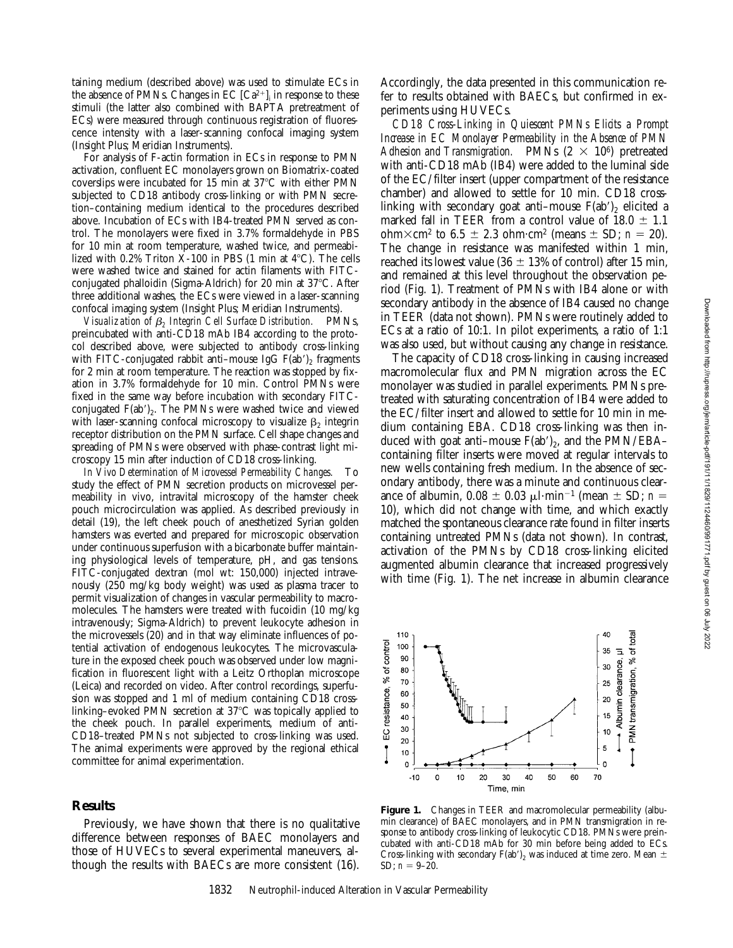taining medium (described above) was used to stimulate ECs in the absence of PMNs. Changes in EC  $\left[C a^{2+}\right]_i$  in response to these stimuli (the latter also combined with BAPTA pretreatment of ECs) were measured through continuous registration of fluorescence intensity with a laser-scanning confocal imaging system (Insight Plus; Meridian Instruments).

For analysis of F-actin formation in ECs in response to PMN activation, confluent EC monolayers grown on Biomatrix-coated coverslips were incubated for 15 min at  $37^{\circ}$ C with either PMN subjected to CD18 antibody cross-linking or with PMN secretion–containing medium identical to the procedures described above. Incubation of ECs with IB4-treated PMN served as control. The monolayers were fixed in 3.7% formaldehyde in PBS for 10 min at room temperature, washed twice, and permeabilized with  $0.2\%$  Triton X-100 in PBS (1 min at  $4^{\circ}$ C). The cells were washed twice and stained for actin filaments with FITCconjugated phalloidin (Sigma-Aldrich) for 20 min at 37°C. After three additional washes, the ECs were viewed in a laser-scanning confocal imaging system (Insight Plus; Meridian Instruments).

*Visualization of* b*2 Integrin Cell Surface Distribution.* PMNs, preincubated with anti-CD18 mAb IB4 according to the protocol described above, were subjected to antibody cross-linking with FITC-conjugated rabbit anti–mouse IgG  $F(ab')_2$  fragments for 2 min at room temperature. The reaction was stopped by fixation in 3.7% formaldehyde for 10 min. Control PMNs were fixed in the same way before incubation with secondary FITCconjugated  $F(ab')_2$ . The PMNs were washed twice and viewed with laser-scanning confocal microscopy to visualize  $\beta_2$  integrin receptor distribution on the PMN surface. Cell shape changes and spreading of PMNs were observed with phase-contrast light microscopy 15 min after induction of CD18 cross-linking.

*In Vivo Determination of Microvessel Permeability Changes.* To study the effect of PMN secretion products on microvessel permeability in vivo, intravital microscopy of the hamster cheek pouch microcirculation was applied. As described previously in detail (19), the left cheek pouch of anesthetized Syrian golden hamsters was everted and prepared for microscopic observation under continuous superfusion with a bicarbonate buffer maintaining physiological levels of temperature, pH, and gas tensions. FITC-conjugated dextran (mol wt: 150,000) injected intravenously (250 mg/kg body weight) was used as plasma tracer to permit visualization of changes in vascular permeability to macromolecules. The hamsters were treated with fucoidin (10 mg/kg intravenously; Sigma-Aldrich) to prevent leukocyte adhesion in the microvessels (20) and in that way eliminate influences of potential activation of endogenous leukocytes. The microvasculature in the exposed cheek pouch was observed under low magnification in fluorescent light with a Leitz Orthoplan microscope (Leica) and recorded on video. After control recordings, superfusion was stopped and 1 ml of medium containing CD18 crosslinking–evoked PMN secretion at 37°C was topically applied to the cheek pouch. In parallel experiments, medium of anti-CD18–treated PMNs not subjected to cross-linking was used. The animal experiments were approved by the regional ethical committee for animal experimentation.

## **Results**

Previously, we have shown that there is no qualitative difference between responses of BAEC monolayers and those of HUVECs to several experimental maneuvers, although the results with BAECs are more consistent (16).

Accordingly, the data presented in this communication refer to results obtained with BAECs, but confirmed in experiments using HUVECs.

*CD18 Cross-Linking in Quiescent PMNs Elicits a Prompt Increase in EC Monolayer Permeability in the Absence of PMN* Adhesion and Transmigration. PMNs  $(2 \times 10^6)$  pretreated with anti-CD18 mAb (IB4) were added to the luminal side of the EC/filter insert (upper compartment of the resistance chamber) and allowed to settle for 10 min. CD18 crosslinking with secondary goat anti–mouse  $F(ab')_2$  elicited a marked fall in TEER from a control value of  $18.0 \pm 1.1$ ohm $\times$ cm<sup>2</sup> to 6.5  $\pm$  2.3 ohm·cm<sup>2</sup> (means  $\pm$  SD; *n* = 20). The change in resistance was manifested within 1 min, reached its lowest value (36  $\pm$  13% of control) after 15 min, and remained at this level throughout the observation period (Fig. 1). Treatment of PMNs with IB4 alone or with secondary antibody in the absence of IB4 caused no change in TEER (data not shown). PMNs were routinely added to ECs at a ratio of 10:1. In pilot experiments, a ratio of 1:1 was also used, but without causing any change in resistance.

The capacity of CD18 cross-linking in causing increased macromolecular flux and PMN migration across the EC monolayer was studied in parallel experiments. PMNs pretreated with saturating concentration of IB4 were added to the EC/filter insert and allowed to settle for 10 min in medium containing EBA. CD18 cross-linking was then induced with goat anti-mouse  $F(ab')_2$ , and the PMN/EBAcontaining filter inserts were moved at regular intervals to new wells containing fresh medium. In the absence of secondary antibody, there was a minute and continuous clearance of albumin,  $0.08 \pm 0.03 \mu\text{l}\cdot\text{min}^{-1}$  (mean  $\pm$  SD; *n* = 10), which did not change with time, and which exactly matched the spontaneous clearance rate found in filter inserts containing untreated PMNs (data not shown). In contrast, activation of the PMNs by CD18 cross-linking elicited augmented albumin clearance that increased progressively with time (Fig. 1). The net increase in albumin clearance



Figure 1. Changes in TEER and macromolecular permeability (albumin clearance) of BAEC monolayers, and in PMN transmigration in response to antibody cross-linking of leukocytic CD18. PMNs were preincubated with anti-CD18 mAb for 30 min before being added to ECs. Cross-linking with secondary F(ab')<sub>2</sub> was induced at time zero. Mean  $\pm$ SD;  $n = 9-20$ .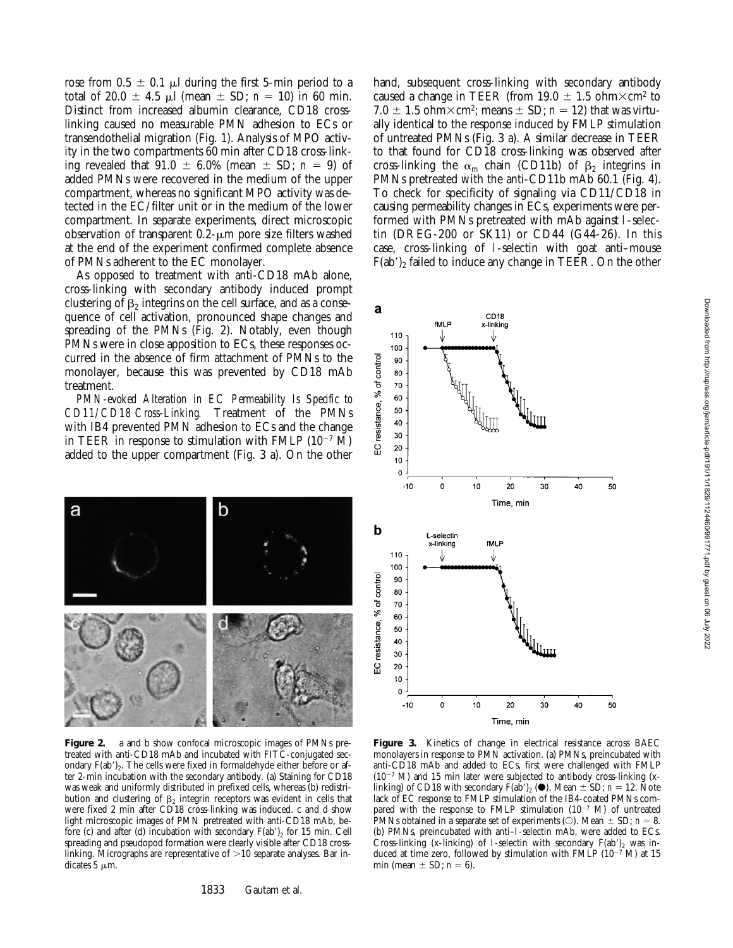rose from  $0.5 \pm 0.1$  µl during the first 5-min period to a total of 20.0  $\pm$  4.5  $\mu$ l (mean  $\pm$  SD; *n* = 10) in 60 min. Distinct from increased albumin clearance, CD18 crosslinking caused no measurable PMN adhesion to ECs or transendothelial migration (Fig. 1). Analysis of MPO activity in the two compartments 60 min after CD18 cross-linking revealed that  $91.0 \pm 6.0\%$  (mean  $\pm$  SD; *n* = 9) of added PMNs were recovered in the medium of the upper compartment, whereas no significant MPO activity was detected in the EC/filter unit or in the medium of the lower compartment. In separate experiments, direct microscopic observation of transparent  $0.2$ - $\mu$ m pore size filters washed at the end of the experiment confirmed complete absence of PMNs adherent to the EC monolayer.

As opposed to treatment with anti-CD18 mAb alone, cross-linking with secondary antibody induced prompt clustering of  $\beta_2$  integrins on the cell surface, and as a consequence of cell activation, pronounced shape changes and spreading of the PMNs (Fig. 2). Notably, even though PMNs were in close apposition to ECs, these responses occurred in the absence of firm attachment of PMNs to the monolayer, because this was prevented by CD18 mAb treatment.

*PMN-evoked Alteration in EC Permeability Is Specific to CD11/CD18 Cross-Linking.* Treatment of the PMNs with IB4 prevented PMN adhesion to ECs and the change in TEER in response to stimulation with FMLP  $(10^{-7}$  M) added to the upper compartment (Fig. 3 a). On the other



**Figure 2.** a and b show confocal microscopic images of PMNs pretreated with anti-CD18 mAb and incubated with FITC-conjugated secondary  $F(ab')_2$ . The cells were fixed in formaldehyde either before or after 2-min incubation with the secondary antibody. (a) Staining for CD18 was weak and uniformly distributed in prefixed cells, whereas (b) redistribution and clustering of  $\beta_2$  integrin receptors was evident in cells that were fixed 2 min after CD18 cross-linking was induced. c and d show light microscopic images of PMN pretreated with anti-CD18 mAb, before (c) and after (d) incubation with secondary  $F(ab')_2$  for 15 min. Cell spreading and pseudopod formation were clearly visible after CD18 crosslinking. Micrographs are representative of  $>10$  separate analyses. Bar indicates  $5 \mu m$ .

1833 Gautam et al.

hand, subsequent cross-linking with secondary antibody caused a change in TEER (from 19.0  $\pm$  1.5 ohm $\times$ cm<sup>2</sup> to 7.0  $\pm$  1.5 ohm $\times$ cm<sup>2</sup>; means  $\pm$  SD; *n* = 12) that was virtually identical to the response induced by FMLP stimulation of untreated PMNs (Fig. 3 a). A similar decrease in TEER to that found for CD18 cross-linking was observed after cross-linking the  $\alpha_{\rm m}$  chain (CD11b) of  $\beta_2$  integrins in PMNs pretreated with the anti-CD11b mAb 60.1 (Fig. 4). To check for specificity of signaling via CD11/CD18 in causing permeability changes in ECs, experiments were performed with PMNs pretreated with mAb against l-selectin (DREG-200 or SK11) or CD44 (G44-26). In this case, cross-linking of l-selectin with goat anti–mouse  $F(ab')$ <sub>2</sub> failed to induce any change in TEER. On the other



Figure 3. Kinetics of change in electrical resistance across BAEC monolayers in response to PMN activation. (a) PMNs, preincubated with anti-CD18 mAb and added to ECs, first were challenged with FMLP  $(10^{-7}$  M) and 15 min later were subjected to antibody cross-linking (xlinking) of CD18 with secondary  $F(ab')_2$  ( $\bullet$ ). Mean  $\pm$  SD; *n* = 12. Note lack of EC response to FMLP stimulation of the IB4-coated PMNs compared with the response to FMLP stimulation  $(10^{-7}$  M) of untreated PMNs obtained in a separate set of experiments (O). Mean  $\pm$  SD; *n* = 8. (b) PMNs, preincubated with anti–l-selectin mAb, were added to ECs. Cross-linking (x-linking) of 1-selectin with secondary  $F(ab')_2$  was induced at time zero, followed by stimulation with FMLP ( $10^{-7}$  M) at 15 min (mean  $\pm$  SD;  $n = 6$ ).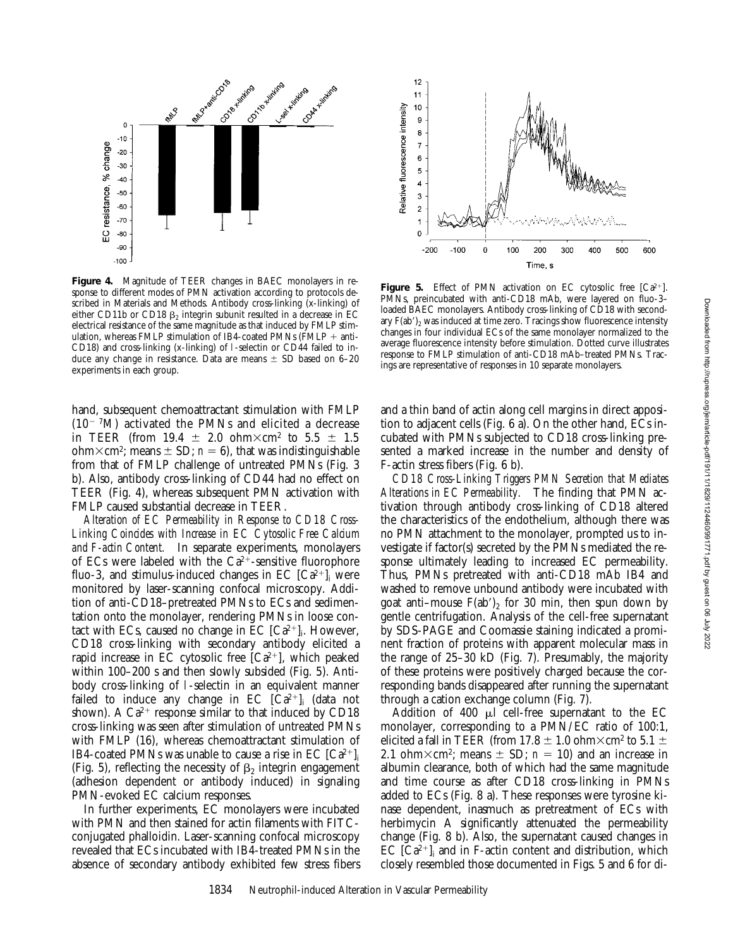

**Figure 4.** Magnitude of TEER changes in BAEC monolayers in response to different modes of PMN activation according to protocols described in Materials and Methods. Antibody cross-linking (x-linking) of either CD11b or CD18  $\beta_2$  integrin subunit resulted in a decrease in EC electrical resistance of the same magnitude as that induced by FMLP stimulation, whereas FMLP stimulation of IB4-coated PMNs (FMLP  $+$  anti-CD18) and cross-linking (x-linking) of l-selectin or CD44 failed to induce any change in resistance. Data are means  $\pm$  SD based on 6–20 experiments in each group.

hand, subsequent chemoattractant stimulation with FMLP  $(10^{-7}M)$  activated the PMNs and elicited a decrease in TEER (from 19.4  $\pm$  2.0 ohm $\times$ cm<sup>2</sup> to 5.5  $\pm$  1.5 ohm $\times$ cm<sup>2</sup>; means  $\pm$  SD; *n* = 6), that was indistinguishable from that of FMLP challenge of untreated PMNs (Fig. 3 b). Also, antibody cross-linking of CD44 had no effect on TEER (Fig. 4), whereas subsequent PMN activation with FMLP caused substantial decrease in TEER.

*Alteration of EC Permeability in Response to CD18 Cross-Linking Coincides with Increase in EC Cytosolic Free Calcium and F-actin Content.* In separate experiments, monolayers of ECs were labeled with the  $Ca^{2+}$ -sensitive fluorophore fluo-3, and stimulus-induced changes in EC  $\left[Ca^{2+}\right]_i$  were monitored by laser-scanning confocal microscopy. Addition of anti-CD18–pretreated PMNs to ECs and sedimentation onto the monolayer, rendering PMNs in loose contact with ECs, caused no change in EC  $[Ca^{2+}]_i$ . However, CD18 cross-linking with secondary antibody elicited a rapid increase in EC cytosolic free  $[Ca^{2+}]$ , which peaked within 100–200 s and then slowly subsided (Fig. 5). Antibody cross-linking of l-selectin in an equivalent manner failed to induce any change in  $EC$   $[Ca^{2+}]_i$  (data not shown). A  $Ca^{2+}$  response similar to that induced by CD18 cross-linking was seen after stimulation of untreated PMNs with FMLP (16), whereas chemoattractant stimulation of IB4-coated PMNs was unable to cause a rise in EC  $\lbrack Ca^{2+}\rbrack$ (Fig. 5), reflecting the necessity of  $\beta_2$  integrin engagement (adhesion dependent or antibody induced) in signaling PMN-evoked EC calcium responses.

In further experiments, EC monolayers were incubated with PMN and then stained for actin filaments with FITCconjugated phalloidin. Laser-scanning confocal microscopy revealed that ECs incubated with IB4-treated PMNs in the absence of secondary antibody exhibited few stress fibers



Figure 5. Effect of PMN activation on EC cytosolic free [Ca<sup>2+</sup>]. PMNs, preincubated with anti-CD18 mAb, were layered on fluo-3– loaded BAEC monolayers. Antibody cross-linking of CD18 with secondary  $F(ab')_2$  was induced at time zero. Tracings show fluorescence intensity changes in four individual ECs of the same monolayer normalized to the average fluorescence intensity before stimulation. Dotted curve illustrates response to FMLP stimulation of anti-CD18 mAb–treated PMNs. Tracings are representative of responses in 10 separate monolayers.

and a thin band of actin along cell margins in direct apposition to adjacent cells (Fig. 6 a). On the other hand, ECs incubated with PMNs subjected to CD18 cross-linking presented a marked increase in the number and density of F-actin stress fibers (Fig. 6 b).

*CD18 Cross-Linking Triggers PMN Secretion that Mediates Alterations in EC Permeability.* The finding that PMN activation through antibody cross-linking of CD18 altered the characteristics of the endothelium, although there was no PMN attachment to the monolayer, prompted us to investigate if factor(s) secreted by the PMNs mediated the response ultimately leading to increased EC permeability. Thus, PMNs pretreated with anti-CD18 mAb IB4 and washed to remove unbound antibody were incubated with goat anti–mouse  $F(ab')_2$  for 30 min, then spun down by gentle centrifugation. Analysis of the cell-free supernatant by SDS-PAGE and Coomassie staining indicated a prominent fraction of proteins with apparent molecular mass in the range of 25–30 kD (Fig. 7). Presumably, the majority of these proteins were positively charged because the corresponding bands disappeared after running the supernatant through a cation exchange column (Fig. 7).

Addition of 400  $\mu$  cell-free supernatant to the EC monolayer, corresponding to a PMN/EC ratio of 100:1, elicited a fall in TEER (from 17.8  $\pm$  1.0 ohm $\times$ cm<sup>2</sup> to 5.1  $\pm$ 2.1 ohm $\times$ cm<sup>2</sup>; means  $\pm$  SD;  $n = 10$ ) and an increase in albumin clearance, both of which had the same magnitude and time course as after CD18 cross-linking in PMNs added to ECs (Fig. 8 a). These responses were tyrosine kinase dependent, inasmuch as pretreatment of ECs with herbimycin A significantly attenuated the permeability change (Fig. 8 b). Also, the supernatant caused changes in  $EC$   $[Ca^{2+}]$ <sub>i</sub> and in F-actin content and distribution, which closely resembled those documented in Figs. 5 and 6 for di-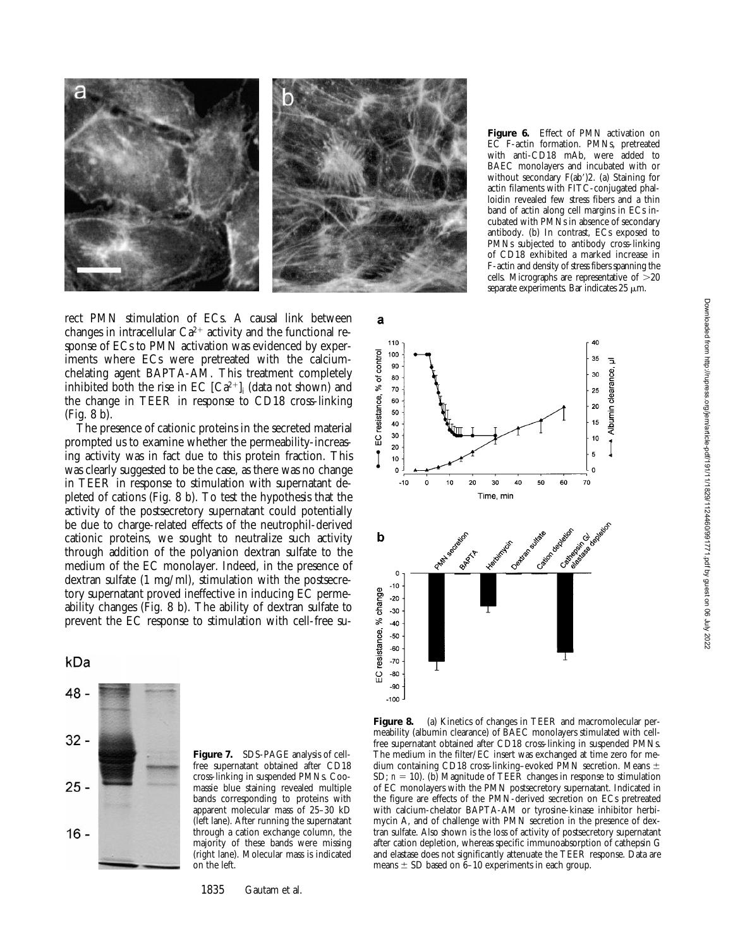

rect PMN stimulation of ECs. A causal link between changes in intracellular  $Ca^{2+}$  activity and the functional response of ECs to PMN activation was evidenced by experiments where ECs were pretreated with the calciumchelating agent BAPTA-AM. This treatment completely inhibited both the rise in  $EC$   $[Ca^{2+}]_i$  (data not shown) and the change in TEER in response to CD18 cross-linking (Fig. 8 b).

The presence of cationic proteins in the secreted material prompted us to examine whether the permeability-increasing activity was in fact due to this protein fraction. This was clearly suggested to be the case, as there was no change in TEER in response to stimulation with supernatant depleted of cations (Fig. 8 b). To test the hypothesis that the activity of the postsecretory supernatant could potentially be due to charge-related effects of the neutrophil-derived cationic proteins, we sought to neutralize such activity through addition of the polyanion dextran sulfate to the medium of the EC monolayer. Indeed, in the presence of dextran sulfate (1 mg/ml), stimulation with the postsecretory supernatant proved ineffective in inducing EC permeability changes (Fig. 8 b). The ability of dextran sulfate to prevent the EC response to stimulation with cell-free su-

#### kDa



**Figure 7.** SDS-PAGE analysis of cellfree supernatant obtained after CD18 cross-linking in suspended PMNs. Coomassie blue staining revealed multiple bands corresponding to proteins with apparent molecular mass of 25–30 kD (left lane). After running the supernatant through a cation exchange column, the majority of these bands were missing (right lane). Molecular mass is indicated on the left.

1835 Gautam et al.

**Figure 6.** Effect of PMN activation on EC F-actin formation. PMNs, pretreated with anti-CD18 mAb, were added to BAEC monolayers and incubated with or without secondary  $F(ab')2$ . (a) Staining for actin filaments with FITC-conjugated phalloidin revealed few stress fibers and a thin band of actin along cell margins in ECs incubated with PMNs in absence of secondary antibody. (b) In contrast, ECs exposed to PMNs subjected to antibody cross-linking of CD18 exhibited a marked increase in F-actin and density of stress fibers spanning the cells. Micrographs are representative of  $>20$ separate experiments. Bar indicates  $25 \mu m$ .



**Figure 8.** (a) Kinetics of changes in TEER and macromolecular permeability (albumin clearance) of BAEC monolayers stimulated with cellfree supernatant obtained after CD18 cross-linking in suspended PMNs. The medium in the filter/EC insert was exchanged at time zero for medium containing CD18 cross-linking–evoked PMN secretion. Means  $\pm$ SD;  $n = 10$ ). (b) Magnitude of TEER changes in response to stimulation of EC monolayers with the PMN postsecretory supernatant. Indicated in the figure are effects of the PMN-derived secretion on ECs pretreated with calcium-chelator BAPTA-AM or tyrosine-kinase inhibitor herbimycin A, and of challenge with PMN secretion in the presence of dextran sulfate. Also shown is the loss of activity of postsecretory supernatant after cation depletion, whereas specific immunoabsorption of cathepsin G and elastase does not significantly attenuate the TEER response. Data are means  $\pm$  SD based on 6–10 experiments in each group.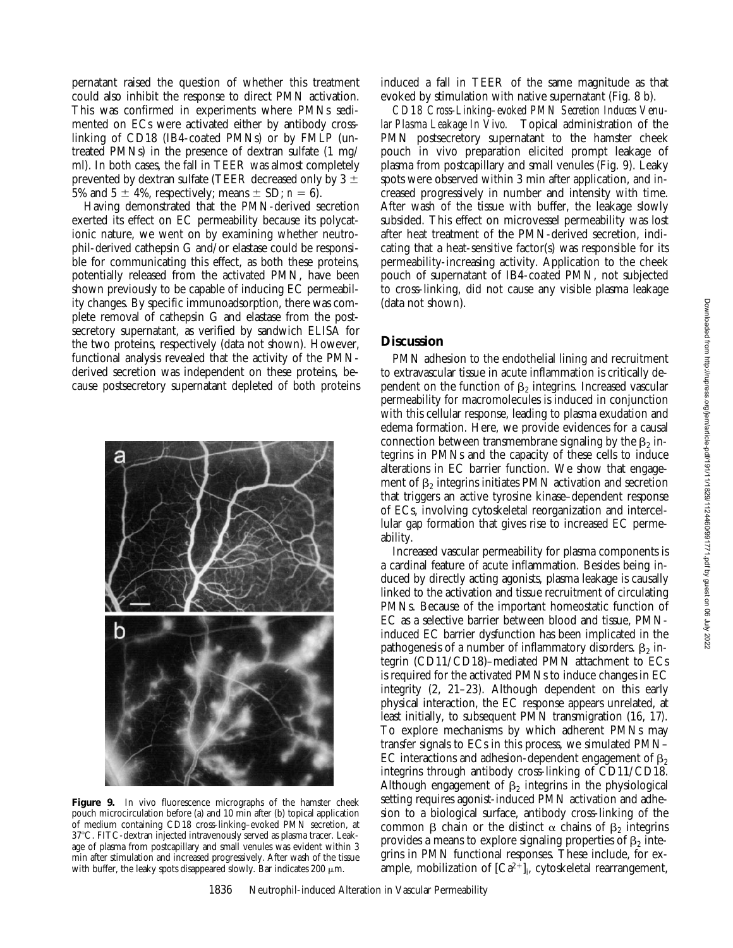pernatant raised the question of whether this treatment could also inhibit the response to direct PMN activation. This was confirmed in experiments where PMNs sedimented on ECs were activated either by antibody crosslinking of CD18 (IB4-coated PMNs) or by FMLP (untreated PMNs) in the presence of dextran sulfate (1 mg/ ml). In both cases, the fall in TEER was almost completely prevented by dextran sulfate (TEER decreased only by  $3 \pm$ 5% and 5  $\pm$  4%, respectively; means  $\pm$  SD; *n* = 6).

Having demonstrated that the PMN-derived secretion exerted its effect on EC permeability because its polycationic nature, we went on by examining whether neutrophil-derived cathepsin G and/or elastase could be responsible for communicating this effect, as both these proteins, potentially released from the activated PMN, have been shown previously to be capable of inducing EC permeability changes. By specific immunoadsorption, there was complete removal of cathepsin G and elastase from the postsecretory supernatant, as verified by sandwich ELISA for the two proteins, respectively (data not shown). However, functional analysis revealed that the activity of the PMNderived secretion was independent on these proteins, because postsecretory supernatant depleted of both proteins



Figure 9. In vivo fluorescence micrographs of the hamster cheek pouch microcirculation before (a) and 10 min after (b) topical application of medium containing CD18 cross-linking–evoked PMN secretion, at 37°C. FITC-dextran injected intravenously served as plasma tracer. Leakage of plasma from postcapillary and small venules was evident within 3 min after stimulation and increased progressively. After wash of the tissue with buffer, the leaky spots disappeared slowly. Bar indicates 200  $\mu$ m.

induced a fall in TEER of the same magnitude as that evoked by stimulation with native supernatant (Fig. 8 b).

*CD18 Cross-Linking–evoked PMN Secretion Induces Venular Plasma Leakage In Vivo.* Topical administration of the PMN postsecretory supernatant to the hamster cheek pouch in vivo preparation elicited prompt leakage of plasma from postcapillary and small venules (Fig. 9). Leaky spots were observed within 3 min after application, and increased progressively in number and intensity with time. After wash of the tissue with buffer, the leakage slowly subsided. This effect on microvessel permeability was lost after heat treatment of the PMN-derived secretion, indicating that a heat-sensitive factor(s) was responsible for its permeability-increasing activity. Application to the cheek pouch of supernatant of IB4-coated PMN, not subjected to cross-linking, did not cause any visible plasma leakage (data not shown).

## **Discussion**

PMN adhesion to the endothelial lining and recruitment to extravascular tissue in acute inflammation is critically dependent on the function of  $\beta_2$  integrins. Increased vascular permeability for macromolecules is induced in conjunction with this cellular response, leading to plasma exudation and edema formation. Here, we provide evidences for a causal connection between transmembrane signaling by the  $\beta_2$  integrins in PMNs and the capacity of these cells to induce alterations in EC barrier function. We show that engagement of  $\beta_2$  integrins initiates PMN activation and secretion that triggers an active tyrosine kinase–dependent response of ECs, involving cytoskeletal reorganization and intercellular gap formation that gives rise to increased EC permeability.

Increased vascular permeability for plasma components is a cardinal feature of acute inflammation. Besides being induced by directly acting agonists, plasma leakage is causally linked to the activation and tissue recruitment of circulating PMNs. Because of the important homeostatic function of EC as a selective barrier between blood and tissue, PMNinduced EC barrier dysfunction has been implicated in the pathogenesis of a number of inflammatory disorders.  $\beta_2$  integrin (CD11/CD18)–mediated PMN attachment to ECs is required for the activated PMNs to induce changes in EC integrity (2, 21–23). Although dependent on this early physical interaction, the EC response appears unrelated, at least initially, to subsequent PMN transmigration (16, 17*)*. To explore mechanisms by which adherent PMNs may transfer signals to ECs in this process, we simulated PMN– EC interactions and adhesion-dependent engagement of  $\beta$ integrins through antibody cross-linking of CD11/CD18. Although engagement of  $\beta_2$  integrins in the physiological setting requires agonist-induced PMN activation and adhesion to a biological surface, antibody cross-linking of the common  $\beta$  chain or the distinct  $\alpha$  chains of  $\beta_2$  integrins provides a means to explore signaling properties of  $\beta_2$  integrins in PMN functional responses. These include, for example, mobilization of  $\left[Ca^{2+}\right]_i$ , cytoskeletal rearrangement,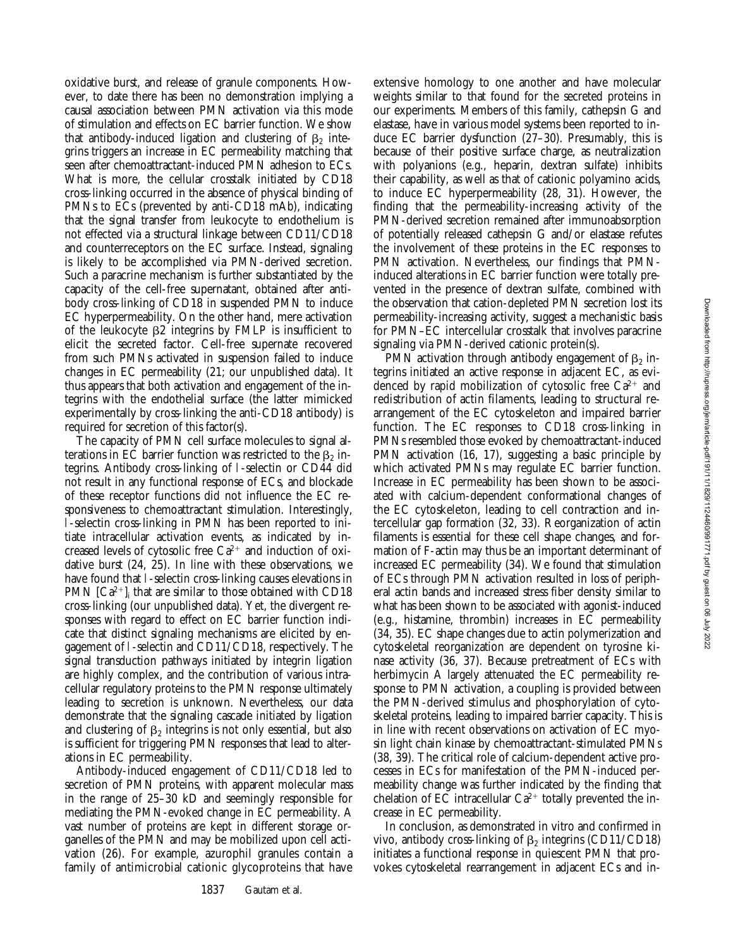oxidative burst, and release of granule components. However, to date there has been no demonstration implying a causal association between PMN activation via this mode of stimulation and effects on EC barrier function. We show that antibody-induced ligation and clustering of  $\beta_2$  integrins triggers an increase in EC permeability matching that seen after chemoattractant-induced PMN adhesion to ECs. What is more, the cellular crosstalk initiated by CD18 cross-linking occurred in the absence of physical binding of PMNs to ECs (prevented by anti-CD18 mAb), indicating that the signal transfer from leukocyte to endothelium is not effected via a structural linkage between CD11/CD18 and counterreceptors on the EC surface. Instead, signaling is likely to be accomplished via PMN-derived secretion. Such a paracrine mechanism is further substantiated by the capacity of the cell-free supernatant, obtained after antibody cross-linking of CD18 in suspended PMN to induce EC hyperpermeability. On the other hand, mere activation of the leukocyte  $\beta$ 2 integrins by FMLP is insufficient to elicit the secreted factor. Cell-free supernate recovered from such PMNs activated in suspension failed to induce changes in EC permeability (21; our unpublished data). It thus appears that both activation and engagement of the integrins with the endothelial surface (the latter mimicked experimentally by cross-linking the anti-CD18 antibody) is required for secretion of this factor(s).

The capacity of PMN cell surface molecules to signal alterations in EC barrier function was restricted to the  $\beta_2$  integrins. Antibody cross-linking of l-selectin or CD44 did not result in any functional response of ECs, and blockade of these receptor functions did not influence the EC responsiveness to chemoattractant stimulation. Interestingly, l-selectin cross-linking in PMN has been reported to initiate intracellular activation events, as indicated by increased levels of cytosolic free  $Ca^{2+}$  and induction of oxidative burst (24, 25). In line with these observations, we have found that l-selectin cross-linking causes elevations in PMN  $\left[Ca^{2+}\right]_i$  that are similar to those obtained with CD18 cross-linking (our unpublished data). Yet, the divergent responses with regard to effect on EC barrier function indicate that distinct signaling mechanisms are elicited by engagement of l-selectin and CD11/CD18, respectively. The signal transduction pathways initiated by integrin ligation are highly complex, and the contribution of various intracellular regulatory proteins to the PMN response ultimately leading to secretion is unknown. Nevertheless, our data demonstrate that the signaling cascade initiated by ligation and clustering of  $\beta_2$  integrins is not only essential, but also is sufficient for triggering PMN responses that lead to alterations in EC permeability.

Antibody-induced engagement of CD11/CD18 led to secretion of PMN proteins, with apparent molecular mass in the range of 25–30 kD and seemingly responsible for mediating the PMN-evoked change in EC permeability. A vast number of proteins are kept in different storage organelles of the PMN and may be mobilized upon cell activation (26). For example, azurophil granules contain a family of antimicrobial cationic glycoproteins that have

extensive homology to one another and have molecular weights similar to that found for the secreted proteins in our experiments. Members of this family, cathepsin G and elastase, have in various model systems been reported to induce EC barrier dysfunction (27–30). Presumably, this is because of their positive surface charge, as neutralization with polyanions (e.g., heparin, dextran sulfate) inhibits their capability, as well as that of cationic polyamino acids, to induce EC hyperpermeability (28, 31). However, the finding that the permeability-increasing activity of the PMN-derived secretion remained after immunoabsorption of potentially released cathepsin G and/or elastase refutes the involvement of these proteins in the EC responses to PMN activation. Nevertheless, our findings that PMNinduced alterations in EC barrier function were totally prevented in the presence of dextran sulfate, combined with the observation that cation-depleted PMN secretion lost its permeability-increasing activity, suggest a mechanistic basis for PMN–EC intercellular crosstalk that involves paracrine signaling via PMN-derived cationic protein(s).

PMN activation through antibody engagement of  $\beta_2$  integrins initiated an active response in adjacent EC, as evidenced by rapid mobilization of cytosolic free  $Ca^{2+}$  and redistribution of actin filaments, leading to structural rearrangement of the EC cytoskeleton and impaired barrier function. The EC responses to CD18 cross-linking in PMNs resembled those evoked by chemoattractant-induced PMN activation (16, 17), suggesting a basic principle by which activated PMNs may regulate EC barrier function. Increase in EC permeability has been shown to be associated with calcium-dependent conformational changes of the EC cytoskeleton, leading to cell contraction and intercellular gap formation (32, 33). Reorganization of actin filaments is essential for these cell shape changes, and formation of F-actin may thus be an important determinant of increased EC permeability (34). We found that stimulation of ECs through PMN activation resulted in loss of peripheral actin bands and increased stress fiber density similar to what has been shown to be associated with agonist-induced (e.g., histamine, thrombin) increases in EC permeability (34, 35). EC shape changes due to actin polymerization and cytoskeletal reorganization are dependent on tyrosine kinase activity (36, 37). Because pretreatment of ECs with herbimycin A largely attenuated the EC permeability response to PMN activation, a coupling is provided between the PMN-derived stimulus and phosphorylation of cytoskeletal proteins, leading to impaired barrier capacity. This is in line with recent observations on activation of EC myosin light chain kinase by chemoattractant-stimulated PMNs (38, 39). The critical role of calcium-dependent active processes in ECs for manifestation of the PMN-induced permeability change was further indicated by the finding that chelation of EC intracellular  $Ca^{2+}$  totally prevented the increase in EC permeability.

In conclusion, as demonstrated in vitro and confirmed in vivo, antibody cross-linking of  $\beta_2$  integrins (CD11/CD18) initiates a functional response in quiescent PMN that provokes cytoskeletal rearrangement in adjacent ECs and in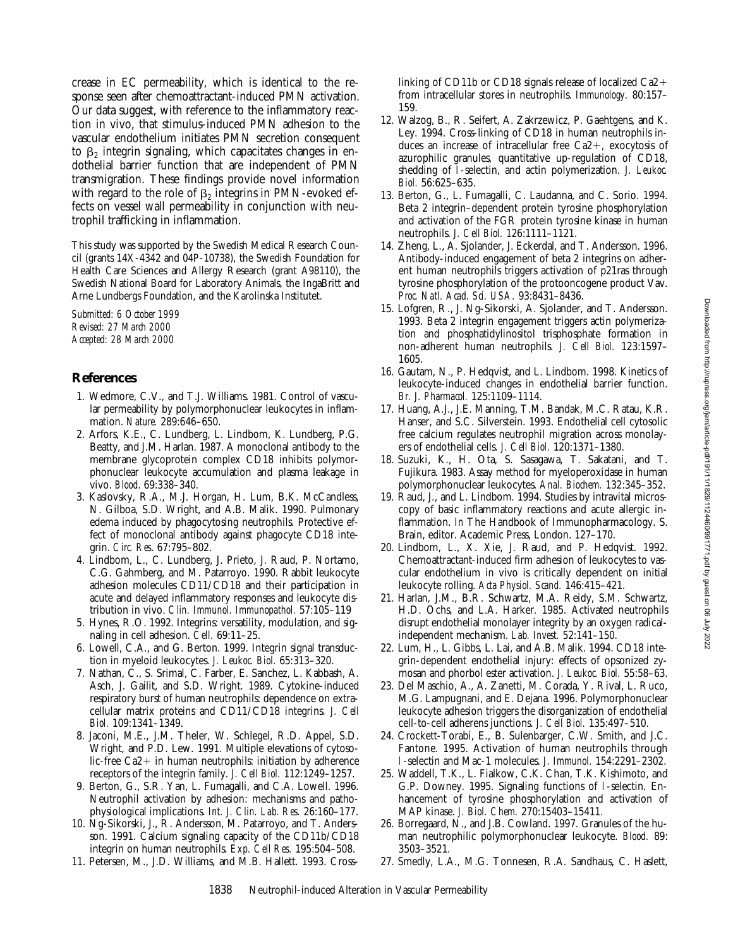crease in EC permeability, which is identical to the response seen after chemoattractant-induced PMN activation. Our data suggest, with reference to the inflammatory reaction in vivo, that stimulus-induced PMN adhesion to the vascular endothelium initiates PMN secretion consequent to  $\beta_2$  integrin signaling, which capacitates changes in endothelial barrier function that are independent of PMN transmigration. These findings provide novel information with regard to the role of  $\beta_2$  integrins in PMN-evoked effects on vessel wall permeability in conjunction with neutrophil trafficking in inflammation.

This study was supported by the Swedish Medical Research Council (grants 14X-4342 and 04P-10738), the Swedish Foundation for Health Care Sciences and Allergy Research (grant A98110), the Swedish National Board for Laboratory Animals, the IngaBritt and Arne Lundbergs Foundation, and the Karolinska Institutet.

*Submitted: 6 October 1999 Revised: 27 March 2000 Accepted: 28 March 2000*

# **References**

- 1. Wedmore, C.V., and T.J. Williams. 1981. Control of vascular permeability by polymorphonuclear leukocytes in inflammation. *Nature.* 289:646–650.
- 2. Arfors, K.E., C. Lundberg, L. Lindbom, K. Lundberg, P.G. Beatty, and J.M. Harlan. 1987. A monoclonal antibody to the membrane glycoprotein complex CD18 inhibits polymorphonuclear leukocyte accumulation and plasma leakage in vivo. *Blood*. 69:338–340.
- 3. Kaslovsky, R.A., M.J. Horgan, H. Lum, B.K. McCandless, N. Gilboa, S.D. Wright, and A.B. Malik. 1990. Pulmonary edema induced by phagocytosing neutrophils. Protective effect of monoclonal antibody against phagocyte CD18 integrin. *Circ. Res*. 67:795–802.
- 4. Lindbom, L., C. Lundberg, J. Prieto, J. Raud, P. Nortamo, C.G. Gahmberg, and M. Patarroyo. 1990. Rabbit leukocyte adhesion molecules CD11/CD18 and their participation in acute and delayed inflammatory responses and leukocyte distribution in vivo. *Clin. Immunol. Immunopathol.* 57:105–119
- 5. Hynes, R.O. 1992. Integrins: versatility, modulation, and signaling in cell adhesion. *Cell.* 69:11–25.
- 6. Lowell, C.A., and G. Berton. 1999. Integrin signal transduction in myeloid leukocytes. *J. Leukoc. Biol.* 65:313–320.
- 7. Nathan, C., S. Srimal, C. Farber, E. Sanchez, L. Kabbash, A. Asch, J. Gailit, and S.D. Wright. 1989. Cytokine-induced respiratory burst of human neutrophils: dependence on extracellular matrix proteins and CD11/CD18 integrins. *J. Cell Biol.* 109:1341–1349.
- 8. Jaconi, M.E., J.M. Theler, W. Schlegel, R.D. Appel, S.D. Wright, and P.D. Lew. 1991. Multiple elevations of cytosolic-free  $Ca2+$  in human neutrophils: initiation by adherence receptors of the integrin family. *J. Cell Biol.* 112:1249–1257.
- 9. Berton, G., S.R. Yan, L. Fumagalli, and C.A. Lowell. 1996. Neutrophil activation by adhesion: mechanisms and pathophysiological implications. *Int. J. Clin. Lab. Res.* 26:160–177.
- 10. Ng-Sikorski, J., R. Andersson, M. Patarroyo, and T. Andersson. 1991. Calcium signaling capacity of the CD11b/CD18 integrin on human neutrophils. *Exp. Cell Res.* 195:504–508.
- 11. Petersen, M., J.D. Williams, and M.B. Hallett. 1993. Cross-

linking of CD11b or CD18 signals release of localized  $Ca2+$ from intracellular stores in neutrophils. *Immunology.* 80:157– 159.

- 12. Walzog, B., R. Seifert, A. Zakrzewicz, P. Gaehtgens, and K. Ley. 1994. Cross-linking of CD18 in human neutrophils induces an increase of intracellular free  $Ca2+$ , exocytosis of azurophilic granules, quantitative up-regulation of CD18, shedding of l-selectin, and actin polymerization. *J. Leukoc. Biol.* 56:625–635.
- 13. Berton, G., L. Fumagalli, C. Laudanna, and C. Sorio. 1994. Beta 2 integrin–dependent protein tyrosine phosphorylation and activation of the FGR protein tyrosine kinase in human neutrophils. *J. Cell Biol.* 126:1111–1121.
- 14. Zheng, L., A. Sjolander, J. Eckerdal, and T. Andersson. 1996. Antibody-induced engagement of beta 2 integrins on adherent human neutrophils triggers activation of p21ras through tyrosine phosphorylation of the protooncogene product Vav. *Proc. Natl. Acad. Sci. USA.* 93:8431–8436.
- 15. Lofgren, R., J. Ng-Sikorski, A. Sjolander, and T. Andersson. 1993. Beta 2 integrin engagement triggers actin polymerization and phosphatidylinositol trisphosphate formation in non-adherent human neutrophils. *J. Cell Biol.* 123:1597– 1605.
- 16. Gautam, N., P. Hedqvist, and L. Lindbom. 1998. Kinetics of leukocyte-induced changes in endothelial barrier function. *Br. J. Pharmacol.* 125:1109–1114.
- 17. Huang, A.J., J.E. Manning, T.M. Bandak, M.C. Ratau, K.R. Hanser, and S.C. Silverstein. 1993. Endothelial cell cytosolic free calcium regulates neutrophil migration across monolayers of endothelial cells. *J. Cell Biol.* 120:1371–1380.
- 18. Suzuki, K., H. Ota, S. Sasagawa, T. Sakatani, and T. Fujikura. 1983. Assay method for myeloperoxidase in human polymorphonuclear leukocytes. *Anal. Biochem.* 132:345–352.
- 19. Raud, J., and L. Lindbom. 1994. Studies by intravital microscopy of basic inflammatory reactions and acute allergic inflammation. *In* The Handbook of Immunopharmacology. S. Brain, editor. Academic Press, London. 127–170.
- 20. Lindbom, L., X. Xie, J. Raud, and P. Hedqvist. 1992. Chemoattractant-induced firm adhesion of leukocytes to vascular endothelium in vivo is critically dependent on initial leukocyte rolling. *Acta Physiol. Scand.* 146:415–421.
- 21. Harlan, J.M., B.R. Schwartz, M.A. Reidy, S.M. Schwartz, H.D. Ochs, and L.A. Harker. 1985. Activated neutrophils disrupt endothelial monolayer integrity by an oxygen radicalindependent mechanism. *Lab. Invest.* 52:141–150.
- 22. Lum, H., L. Gibbs, L. Lai, and A.B. Malik. 1994. CD18 integrin-dependent endothelial injury: effects of opsonized zymosan and phorbol ester activation. *J. Leukoc. Biol.* 55:58–63.
- 23. Del Maschio, A., A. Zanetti, M. Corada, Y. Rival, L. Ruco, M.G. Lampugnani, and E. Dejana. 1996. Polymorphonuclear leukocyte adhesion triggers the disorganization of endothelial cell-to-cell adherens junctions. *J. Cell Biol.* 135:497–510.
- 24. Crockett-Torabi, E., B. Sulenbarger, C.W. Smith, and J.C. Fantone. 1995. Activation of human neutrophils through l-selectin and Mac-1 molecules. *J. Immunol.* 154:2291–2302.
- 25. Waddell, T.K., L. Fialkow, C.K. Chan, T.K. Kishimoto, and G.P. Downey. 1995. Signaling functions of l-selectin. Enhancement of tyrosine phosphorylation and activation of MAP kinase. *J. Biol. Chem.* 270:15403–15411.
- 26. Borregaard, N., and J.B. Cowland. 1997. Granules of the human neutrophilic polymorphonuclear leukocyte. *Blood.* 89: 3503–3521.
- 27. Smedly, L.A., M.G. Tonnesen, R.A. Sandhaus, C. Haslett,